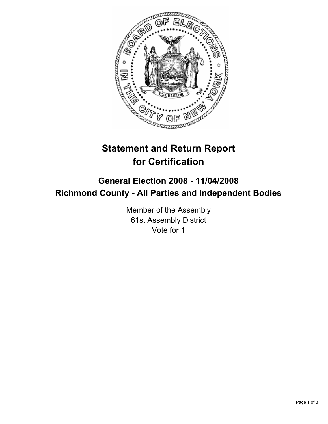

# **Statement and Return Report for Certification**

## **General Election 2008 - 11/04/2008 Richmond County - All Parties and Independent Bodies**

Member of the Assembly 61st Assembly District Vote for 1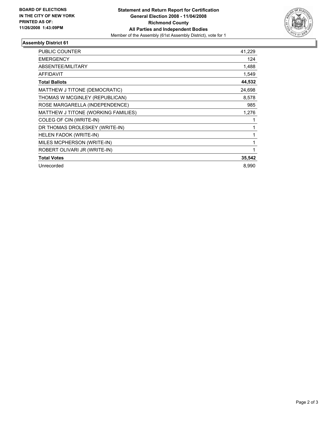

### **Assembly District 61**

| <b>PUBLIC COUNTER</b>               | 41,229 |
|-------------------------------------|--------|
| <b>EMERGENCY</b>                    | 124    |
| ABSENTEE/MILITARY                   | 1,488  |
| <b>AFFIDAVIT</b>                    | 1,549  |
| <b>Total Ballots</b>                | 44,532 |
| MATTHEW J TITONE (DEMOCRATIC)       | 24,698 |
| THOMAS W MCGINLEY (REPUBLICAN)      | 8,578  |
| ROSE MARGARELLA (INDEPENDENCE)      | 985    |
| MATTHEW J TITONE (WORKING FAMILIES) | 1,276  |
| COLEG OF CIN (WRITE-IN)             |        |
| DR THOMAS DROLESKEY (WRITE-IN)      |        |
| <b>HELEN FADOK (WRITE-IN)</b>       |        |
| MILES MCPHERSON (WRITE-IN)          |        |
| ROBERT OLIVARI JR (WRITE-IN)        |        |
| <b>Total Votes</b>                  | 35,542 |
| Unrecorded                          | 8,990  |